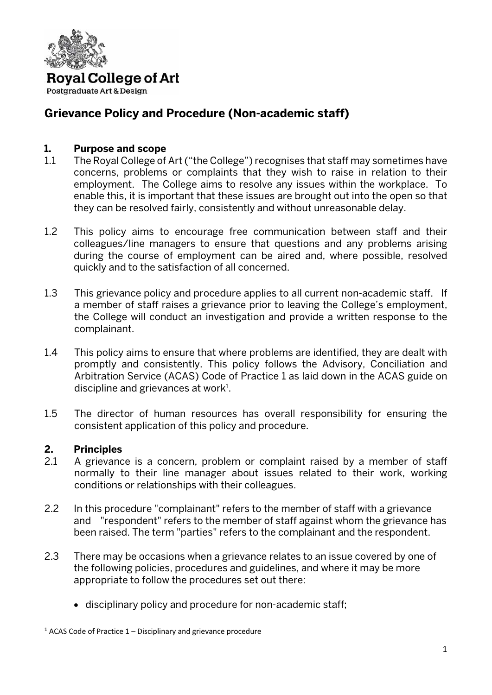

Postgraduate Art & Design

### **Grievance Policy and Procedure (Non-academic staff)**

#### **1. Purpose and scope**

- 1.1 The Royal College of Art ("the College") recognises that staff may sometimes have concerns, problems or complaints that they wish to raise in relation to their employment. The College aims to resolve any issues within the workplace. To enable this, it is important that these issues are brought out into the open so that they can be resolved fairly, consistently and without unreasonable delay.
- 1.2 This policy aims to encourage free communication between staff and their colleagues/line managers to ensure that questions and any problems arising during the course of employment can be aired and, where possible, resolved quickly and to the satisfaction of all concerned.
- 1.3 This grievance policy and procedure applies to all current non-academic staff. If a member of staff raises a grievance prior to leaving the College's employment, the College will conduct an investigation and provide a written response to the complainant.
- 1.4 This policy aims to ensure that where problems are identified, they are dealt with promptly and consistently. This policy follows the Advisory, Conciliation and Arbitration Service (ACAS) Code of Practice 1 as laid down in the ACAS guide on discipline and grievances at work $1$ .
- 1.5 The director of human resources has overall responsibility for ensuring the consistent application of this policy and procedure.

#### **2. Principles**

- 2.1 A grievance is a concern, problem or complaint raised by a member of staff normally to their line manager about issues related to their work, working conditions or relationships with their colleagues.
- 2.2 In this procedure "complainant" refers to the member of staff with a grievance and "respondent" refers to the member of staff against whom the grievance has been raised. The term "parties" refers to the complainant and the respondent.
- 2.3 There may be occasions when a grievance relates to an issue covered by one of the following policies, procedures and guidelines, and where it may be more appropriate to follow the procedures set out there:
	- disciplinary policy and procedure for non-academic staff;

 $1$  ACAS Code of Practice  $1$  – Disciplinary and grievance procedure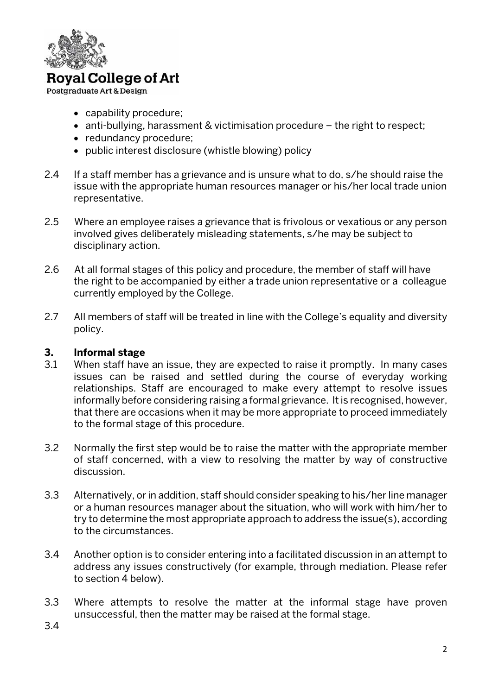

Postgraduate Art & Design

- capability procedure;
- anti-bullying, harassment & victimisation procedure the right to respect;
- redundancy procedure;
- public interest disclosure (whistle blowing) policy
- 2.4 If a staff member has a grievance and is unsure what to do, s/he should raise the issue with the appropriate human resources manager or his/her local trade union representative.
- 2.5 Where an employee raises a grievance that is frivolous or vexatious or any person involved gives deliberately misleading statements, s/he may be subject to disciplinary action.
- 2.6 At all formal stages of this policy and procedure, the member of staff will have the right to be accompanied by either a trade union representative or a colleague currently employed by the College.
- 2.7 All members of staff will be treated in line with the College's equality and diversity policy.

#### **3. Informal stage**

- 3.1 When staff have an issue, they are expected to raise it promptly. In many cases issues can be raised and settled during the course of everyday working relationships. Staff are encouraged to make every attempt to resolve issues informally before considering raising a formal grievance. It is recognised, however, that there are occasions when it may be more appropriate to proceed immediately to the formal stage of this procedure.
- 3.2 Normally the first step would be to raise the matter with the appropriate member of staff concerned, with a view to resolving the matter by way of constructive discussion.
- 3.3 Alternatively, or in addition, staff should consider speaking to his/her line manager or a human resources manager about the situation, who will work with him/her to try to determine the most appropriate approach to address the issue(s), according to the circumstances.
- 3.4 Another option is to consider entering into a facilitated discussion in an attempt to address any issues constructively (for example, through mediation. Please refer to section 4 below).
- 3.3 Where attempts to resolve the matter at the informal stage have proven unsuccessful, then the matter may be raised at the formal stage.
- 3.4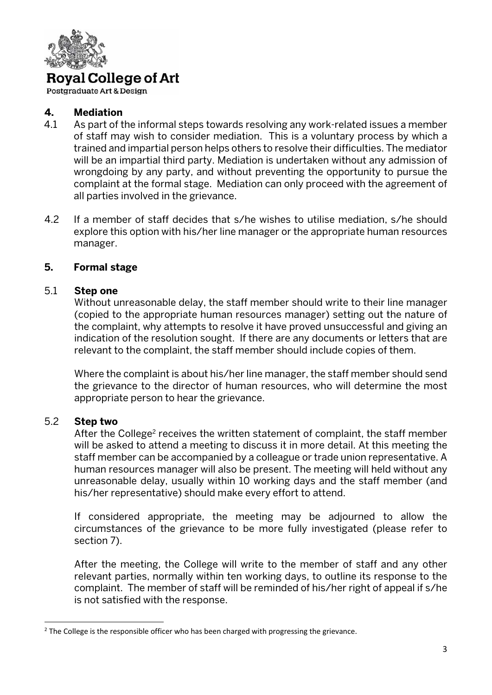

Postgraduate Art & Design

#### **4. Mediation**

- 4.1 As part of the informal steps towards resolving any work-related issues a member of staff may wish to consider mediation. This is a voluntary process by which a trained and impartial person helps others to resolve their difficulties. The mediator will be an impartial third party. Mediation is undertaken without any admission of wrongdoing by any party, and without preventing the opportunity to pursue the complaint at the formal stage. Mediation can only proceed with the agreement of all parties involved in the grievance.
- 4.2 If a member of staff decides that s/he wishes to utilise mediation, s/he should explore this option with his/her line manager or the appropriate human resources manager.

#### **5. Formal stage**

#### 5.1 **Step one**

Without unreasonable delay, the staff member should write to their line manager (copied to the appropriate human resources manager) setting out the nature of the complaint, why attempts to resolve it have proved unsuccessful and giving an indication of the resolution sought. If there are any documents or letters that are relevant to the complaint, the staff member should include copies of them.

Where the complaint is about his/her line manager, the staff member should send the grievance to the director of human resources, who will determine the most appropriate person to hear the grievance.

#### 5.2 **Step two**

After the College<sup>2</sup> receives the written statement of complaint, the staff member will be asked to attend a meeting to discuss it in more detail. At this meeting the staff member can be accompanied by a colleague or trade union representative. A human resources manager will also be present. The meeting will held without any unreasonable delay, usually within 10 working days and the staff member (and his/her representative) should make every effort to attend.

If considered appropriate, the meeting may be adjourned to allow the circumstances of the grievance to be more fully investigated (please refer to section 7).

After the meeting, the College will write to the member of staff and any other relevant parties, normally within ten working days, to outline its response to the complaint. The member of staff will be reminded of his/her right of appeal if s/he is not satisfied with the response.

<sup>&</sup>lt;sup>2</sup> The College is the responsible officer who has been charged with progressing the grievance.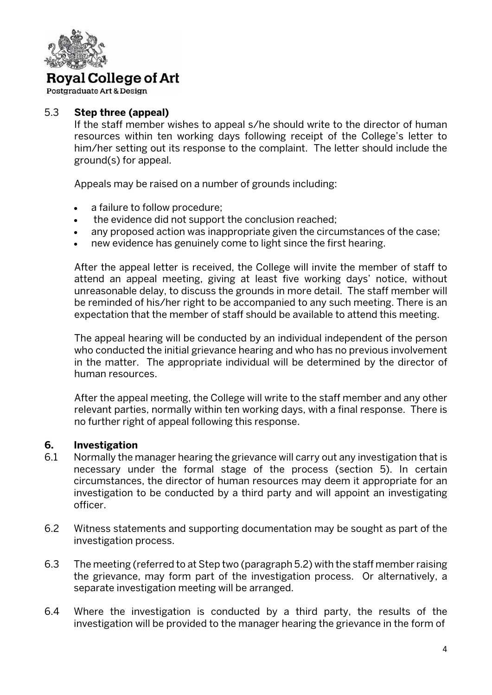

Postgraduate Art & Design

#### 5.3 **Step three (appeal)**

If the staff member wishes to appeal s/he should write to the director of human resources within ten working days following receipt of the College's letter to him/her setting out its response to the complaint. The letter should include the ground(s) for appeal.

Appeals may be raised on a number of grounds including:

- a failure to follow procedure;
- the evidence did not support the conclusion reached;
- any proposed action was inappropriate given the circumstances of the case;
- new evidence has genuinely come to light since the first hearing.

After the appeal letter is received, the College will invite the member of staff to attend an appeal meeting, giving at least five working days' notice, without unreasonable delay, to discuss the grounds in more detail. The staff member will be reminded of his/her right to be accompanied to any such meeting. There is an expectation that the member of staff should be available to attend this meeting.

The appeal hearing will be conducted by an individual independent of the person who conducted the initial grievance hearing and who has no previous involvement in the matter. The appropriate individual will be determined by the director of human resources.

After the appeal meeting, the College will write to the staff member and any other relevant parties, normally within ten working days, with a final response. There is no further right of appeal following this response.

#### **6. Investigation**

- 6.1 Normally the manager hearing the grievance will carry out any investigation that is necessary under the formal stage of the process (section 5). In certain circumstances, the director of human resources may deem it appropriate for an investigation to be conducted by a third party and will appoint an investigating officer.
- 6.2 Witness statements and supporting documentation may be sought as part of the investigation process.
- 6.3 The meeting (referred to at Step two (paragraph 5.2) with the staff member raising the grievance, may form part of the investigation process. Or alternatively, a separate investigation meeting will be arranged.
- 6.4 Where the investigation is conducted by a third party, the results of the investigation will be provided to the manager hearing the grievance in the form of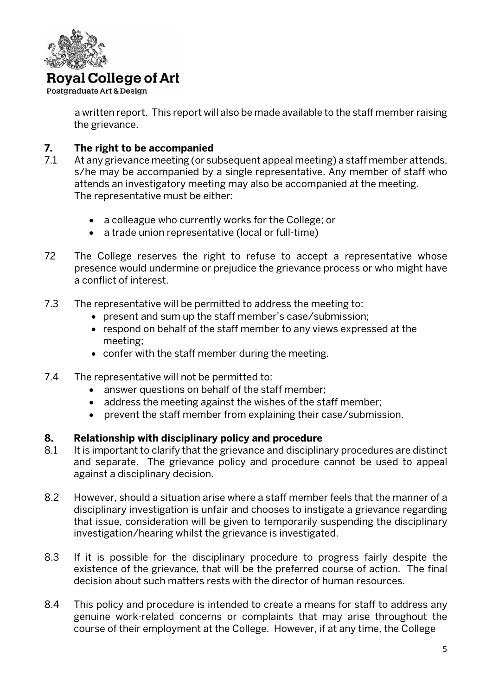

Postgraduate Art & Design

 a written report. This report will also be made available to the staff member raising the grievance.

#### **7. The right to be accompanied**

- 7.1 At any grievance meeting (or subsequent appeal meeting) a staff member attends, s/he may be accompanied by a single representative. Any member of staff who attends an investigatory meeting may also be accompanied at the meeting. The representative must be either:
	- a colleague who currently works for the College; or
	- a trade union representative (local or full-time)
- 72 The College reserves the right to refuse to accept a representative whose presence would undermine or prejudice the grievance process or who might have a conflict of interest.
- 7.3 The representative will be permitted to address the meeting to:
	- present and sum up the staff member's case/submission;
	- respond on behalf of the staff member to any views expressed at the meeting;
	- confer with the staff member during the meeting.
- 7.4 The representative will not be permitted to:
	- answer questions on behalf of the staff member;
	- address the meeting against the wishes of the staff member;
	- prevent the staff member from explaining their case/submission.

#### **8. Relationship with disciplinary policy and procedure**

- 8.1 It is important to clarify that the grievance and disciplinary procedures are distinct and separate. The grievance policy and procedure cannot be used to appeal against a disciplinary decision.
- 8.2 However, should a situation arise where a staff member feels that the manner of a disciplinary investigation is unfair and chooses to instigate a grievance regarding that issue, consideration will be given to temporarily suspending the disciplinary investigation/hearing whilst the grievance is investigated.
- 8.3 If it is possible for the disciplinary procedure to progress fairly despite the existence of the grievance, that will be the preferred course of action. The final decision about such matters rests with the director of human resources.
- 8.4 This policy and procedure is intended to create a means for staff to address any genuine work-related concerns or complaints that may arise throughout the course of their employment at the College. However, if at any time, the College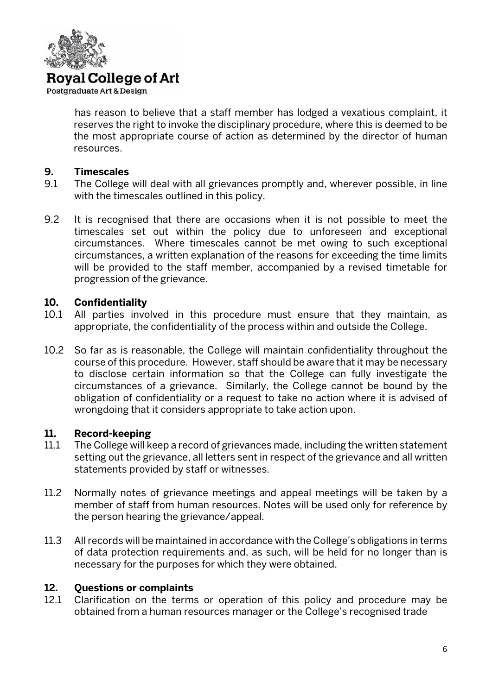

Postgraduate Art & Design

 has reason to believe that a staff member has lodged a vexatious complaint, it reserves the right to invoke the disciplinary procedure, where this is deemed to be the most appropriate course of action as determined by the director of human resources.

#### **9. Timescales**

- 9.1 The College will deal with all grievances promptly and, wherever possible, in line with the timescales outlined in this policy.
- 9.2 It is recognised that there are occasions when it is not possible to meet the timescales set out within the policy due to unforeseen and exceptional circumstances. Where timescales cannot be met owing to such exceptional circumstances, a written explanation of the reasons for exceeding the time limits will be provided to the staff member, accompanied by a revised timetable for progression of the grievance.

#### **10. Confidentiality**

- 10.1 All parties involved in this procedure must ensure that they maintain, as appropriate, the confidentiality of the process within and outside the College.
- 10.2 So far as is reasonable, the College will maintain confidentiality throughout the course of this procedure. However, staff should be aware that it may be necessary to disclose certain information so that the College can fully investigate the circumstances of a grievance. Similarly, the College cannot be bound by the obligation of confidentiality or a request to take no action where it is advised of wrongdoing that it considers appropriate to take action upon.

#### **11. Record-keeping**

- 11.1 The College will keep a record of grievances made, including the written statement setting out the grievance, all letters sent in respect of the grievance and all written statements provided by staff or witnesses.
- 11.2 Normally notes of grievance meetings and appeal meetings will be taken by a member of staff from human resources. Notes will be used only for reference by the person hearing the grievance/appeal.
- 11.3 All records will be maintained in accordance with the College's obligations in terms of data protection requirements and, as such, will be held for no longer than is necessary for the purposes for which they were obtained.

#### **12. Questions or complaints**

12.1 Clarification on the terms or operation of this policy and procedure may be obtained from a human resources manager or the College's recognised trade